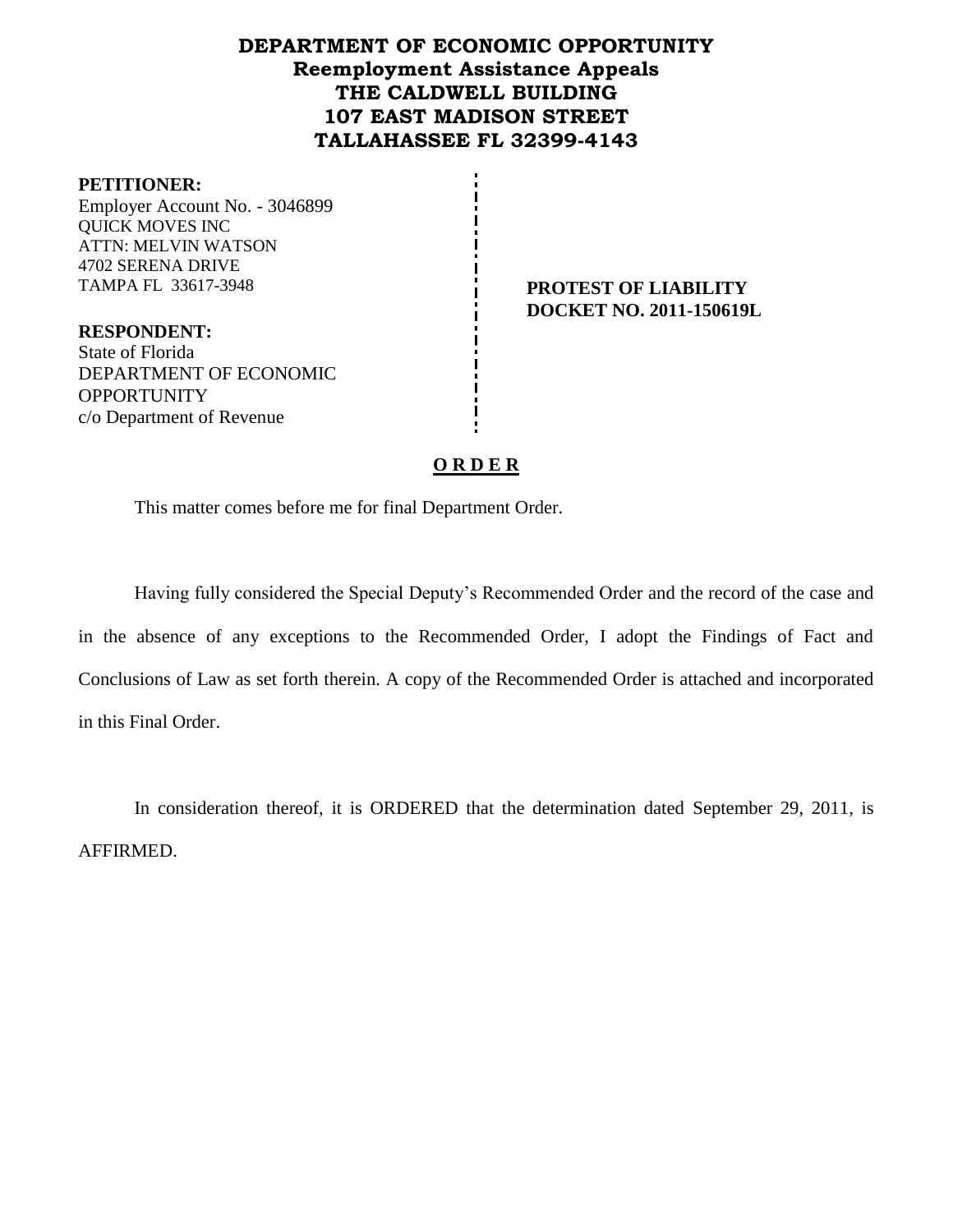# **DEPARTMENT OF ECONOMIC OPPORTUNITY Reemployment Assistance Appeals THE CALDWELL BUILDING 107 EAST MADISON STREET TALLAHASSEE FL 32399-4143**

#### **PETITIONER:**

Employer Account No. - 3046899 QUICK MOVES INC ATTN: MELVIN WATSON 4702 SERENA DRIVE TAMPA FL 33617-3948 **PROTEST OF LIABILITY**

**DOCKET NO. 2011-150619L**

**RESPONDENT:** State of Florida DEPARTMENT OF ECONOMIC **OPPORTUNITY** c/o Department of Revenue

#### **O R D E R**

This matter comes before me for final Department Order.

Having fully considered the Special Deputy's Recommended Order and the record of the case and in the absence of any exceptions to the Recommended Order, I adopt the Findings of Fact and Conclusions of Law as set forth therein. A copy of the Recommended Order is attached and incorporated in this Final Order.

In consideration thereof, it is ORDERED that the determination dated September 29, 2011, is AFFIRMED.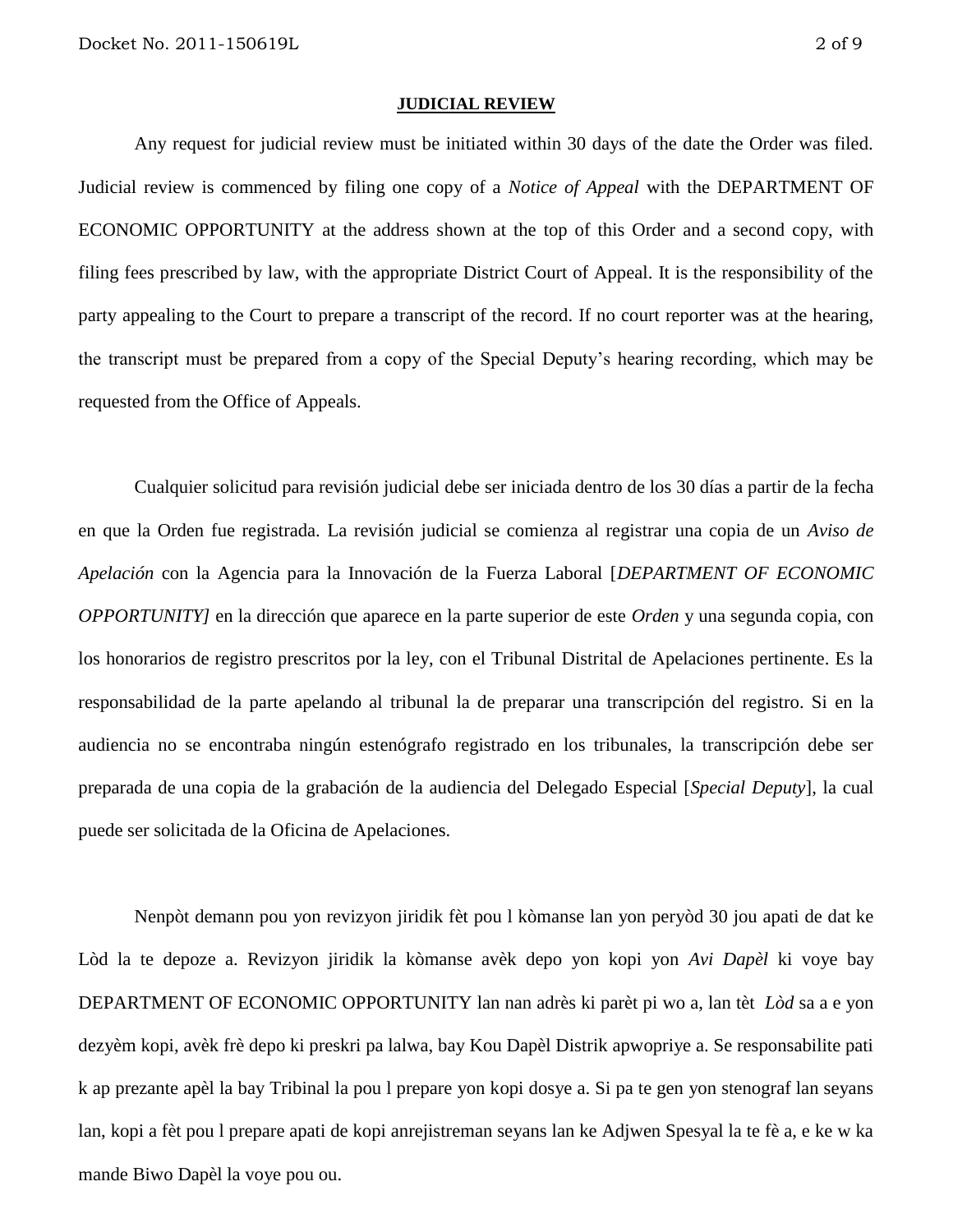#### **JUDICIAL REVIEW**

Any request for judicial review must be initiated within 30 days of the date the Order was filed. Judicial review is commenced by filing one copy of a *Notice of Appeal* with the DEPARTMENT OF ECONOMIC OPPORTUNITY at the address shown at the top of this Order and a second copy, with filing fees prescribed by law, with the appropriate District Court of Appeal. It is the responsibility of the party appealing to the Court to prepare a transcript of the record. If no court reporter was at the hearing, the transcript must be prepared from a copy of the Special Deputy's hearing recording, which may be requested from the Office of Appeals.

Cualquier solicitud para revisión judicial debe ser iniciada dentro de los 30 días a partir de la fecha en que la Orden fue registrada. La revisión judicial se comienza al registrar una copia de un *Aviso de Apelación* con la Agencia para la Innovación de la Fuerza Laboral [*DEPARTMENT OF ECONOMIC OPPORTUNITY]* en la dirección que aparece en la parte superior de este *Orden* y una segunda copia, con los honorarios de registro prescritos por la ley, con el Tribunal Distrital de Apelaciones pertinente. Es la responsabilidad de la parte apelando al tribunal la de preparar una transcripción del registro. Si en la audiencia no se encontraba ningún estenógrafo registrado en los tribunales, la transcripción debe ser preparada de una copia de la grabación de la audiencia del Delegado Especial [*Special Deputy*], la cual puede ser solicitada de la Oficina de Apelaciones.

Nenpòt demann pou yon revizyon jiridik fèt pou l kòmanse lan yon peryòd 30 jou apati de dat ke Lòd la te depoze a. Revizyon jiridik la kòmanse avèk depo yon kopi yon *Avi Dapèl* ki voye bay DEPARTMENT OF ECONOMIC OPPORTUNITY lan nan adrès ki parèt pi wo a, lan tèt *Lòd* sa a e yon dezyèm kopi, avèk frè depo ki preskri pa lalwa, bay Kou Dapèl Distrik apwopriye a. Se responsabilite pati k ap prezante apèl la bay Tribinal la pou l prepare yon kopi dosye a. Si pa te gen yon stenograf lan seyans lan, kopi a fèt pou l prepare apati de kopi anrejistreman seyans lan ke Adjwen Spesyal la te fè a, e ke w ka mande Biwo Dapèl la voye pou ou.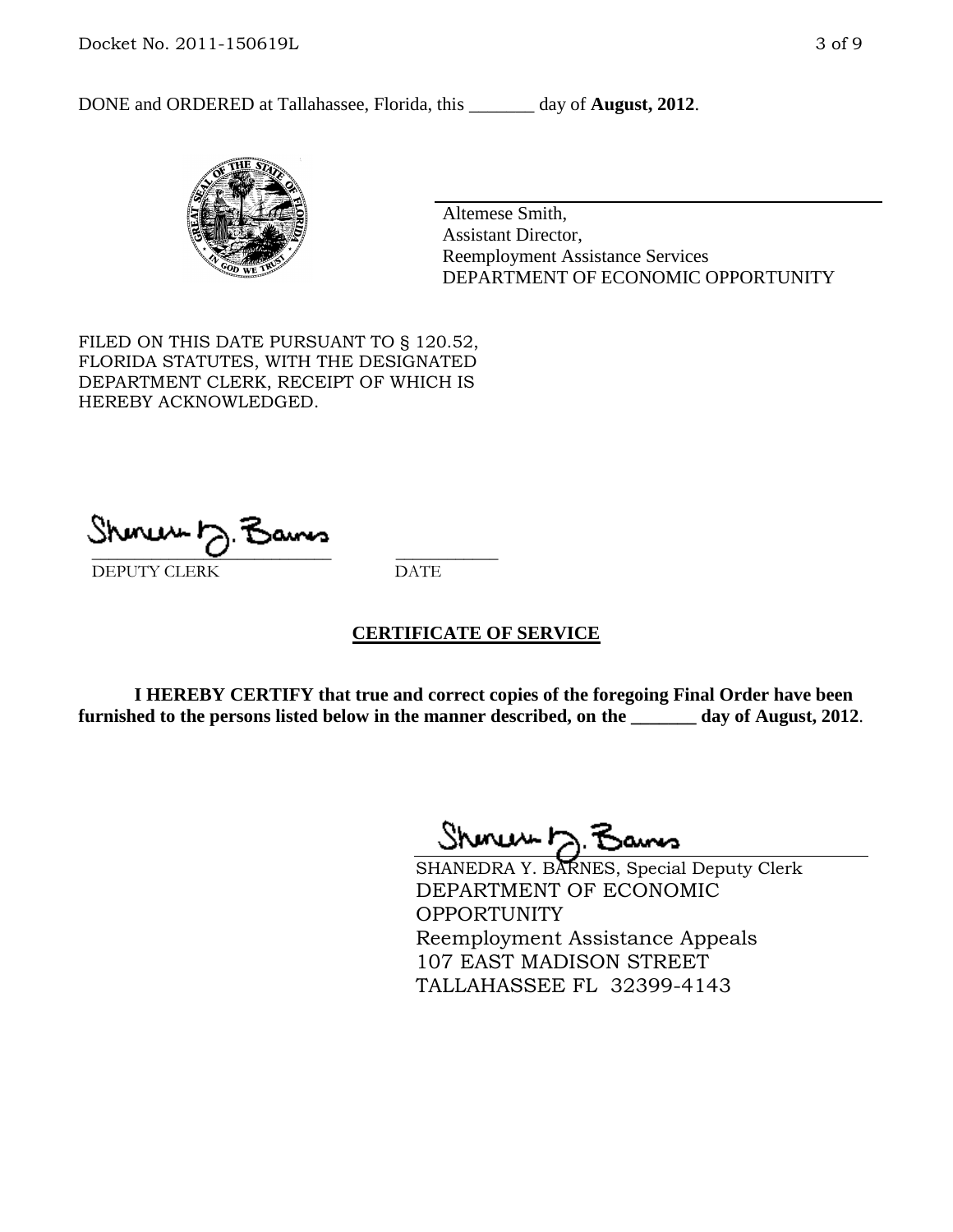DONE and ORDERED at Tallahassee, Florida, this day of **August, 2012**.



Altemese Smith, Assistant Director, Reemployment Assistance Services DEPARTMENT OF ECONOMIC OPPORTUNITY

FILED ON THIS DATE PURSUANT TO § 120.52, FLORIDA STATUTES, WITH THE DESIGNATED DEPARTMENT CLERK, RECEIPT OF WHICH IS HEREBY ACKNOWLEDGED.

 $S$ hanuu  $\gamma$  . Sams DEPUTY CLERK DATE

#### **CERTIFICATE OF SERVICE**

**I HEREBY CERTIFY that true and correct copies of the foregoing Final Order have been furnished to the persons listed below in the manner described, on the \_\_\_\_\_\_\_ day of August, 2012**.

Shmun 12.3

SHANEDRA Y. BARNES, Special Deputy Clerk DEPARTMENT OF ECONOMIC OPPORTUNITY Reemployment Assistance Appeals 107 EAST MADISON STREET TALLAHASSEE FL 32399-4143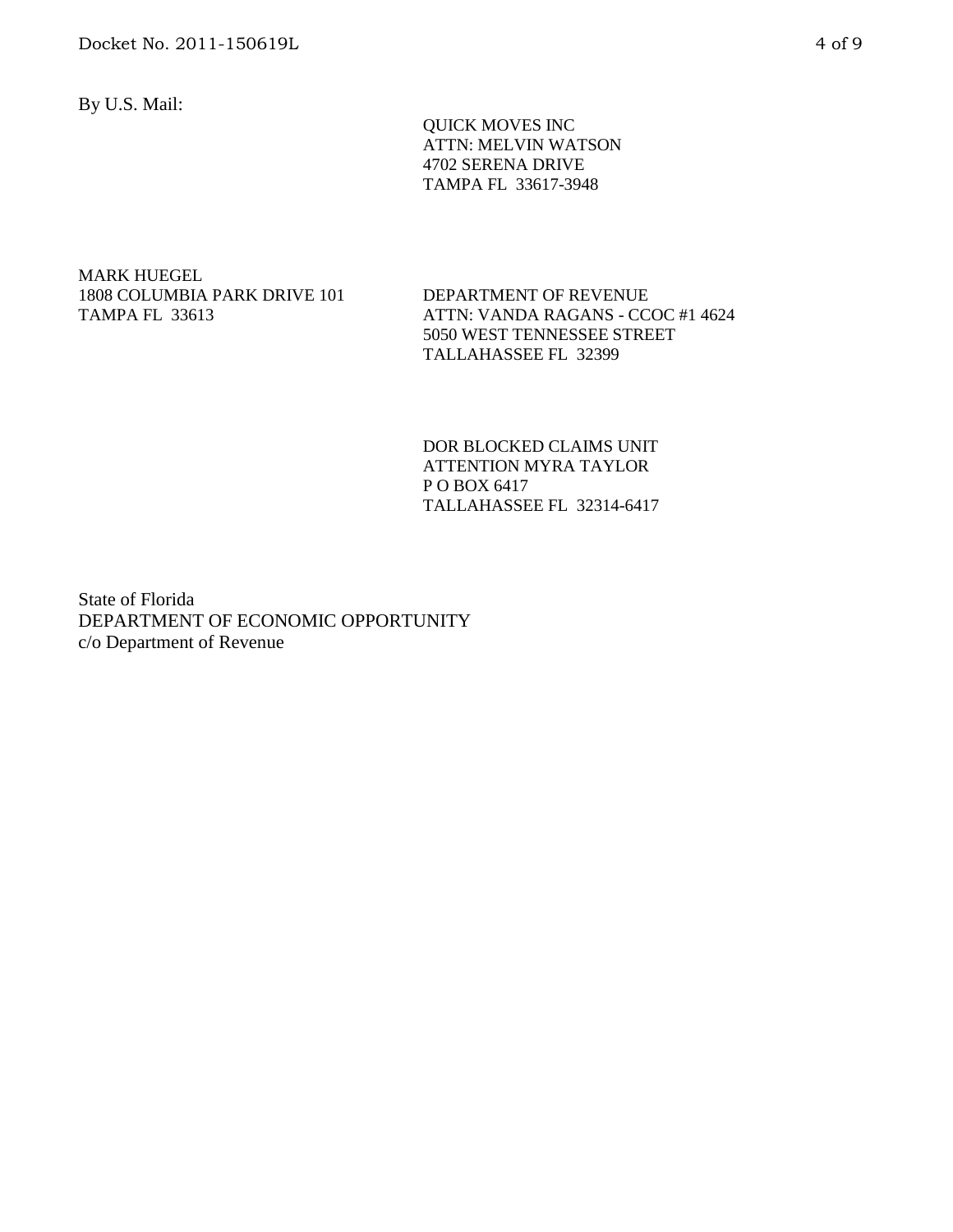By U.S. Mail:

 QUICK MOVES INC ATTN: MELVIN WATSON 4702 SERENA DRIVE TAMPA FL 33617-3948

MARK HUEGEL 1808 COLUMBIA PARK DRIVE 101 TAMPA FL 33613

DEPARTMENT OF REVENUE ATTN: VANDA RAGANS - CCOC #1 4624 5050 WEST TENNESSEE STREET TALLAHASSEE FL 32399

DOR BLOCKED CLAIMS UNIT ATTENTION MYRA TAYLOR P O BOX 6417 TALLAHASSEE FL 32314-6417

State of Florida DEPARTMENT OF ECONOMIC OPPORTUNITY c/o Department of Revenue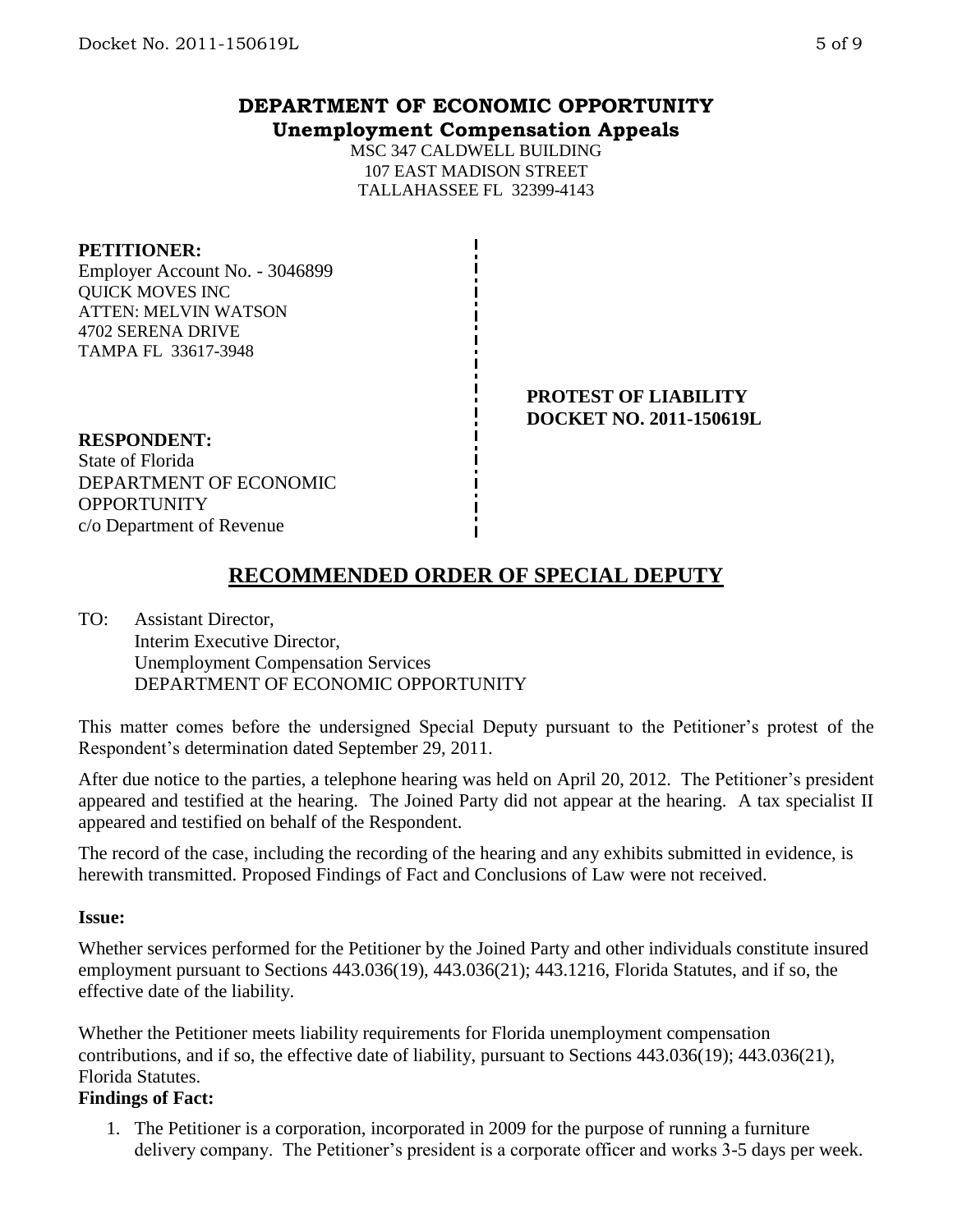# **DEPARTMENT OF ECONOMIC OPPORTUNITY Unemployment Compensation Appeals**

MSC 347 CALDWELL BUILDING 107 EAST MADISON STREET TALLAHASSEE FL 32399-4143

## **PETITIONER:**

Employer Account No. - 3046899 QUICK MOVES INC ATTEN: MELVIN WATSON 4702 SERENA DRIVE TAMPA FL 33617-3948

> **PROTEST OF LIABILITY DOCKET NO. 2011-150619L**

## **RESPONDENT:**

State of Florida DEPARTMENT OF ECONOMIC **OPPORTUNITY** c/o Department of Revenue

# **RECOMMENDED ORDER OF SPECIAL DEPUTY**

TO: Assistant Director, Interim Executive Director, Unemployment Compensation Services DEPARTMENT OF ECONOMIC OPPORTUNITY

This matter comes before the undersigned Special Deputy pursuant to the Petitioner's protest of the Respondent's determination dated September 29, 2011.

After due notice to the parties, a telephone hearing was held on April 20, 2012. The Petitioner's president appeared and testified at the hearing. The Joined Party did not appear at the hearing. A tax specialist II appeared and testified on behalf of the Respondent.

The record of the case, including the recording of the hearing and any exhibits submitted in evidence, is herewith transmitted. Proposed Findings of Fact and Conclusions of Law were not received.

#### **Issue:**

Whether services performed for the Petitioner by the Joined Party and other individuals constitute insured employment pursuant to Sections 443.036(19), 443.036(21); 443.1216, Florida Statutes, and if so, the effective date of the liability.

Whether the Petitioner meets liability requirements for Florida unemployment compensation contributions, and if so, the effective date of liability, pursuant to Sections 443.036(19); 443.036(21), Florida Statutes.

#### **Findings of Fact:**

1. The Petitioner is a corporation, incorporated in 2009 for the purpose of running a furniture delivery company. The Petitioner's president is a corporate officer and works 3-5 days per week.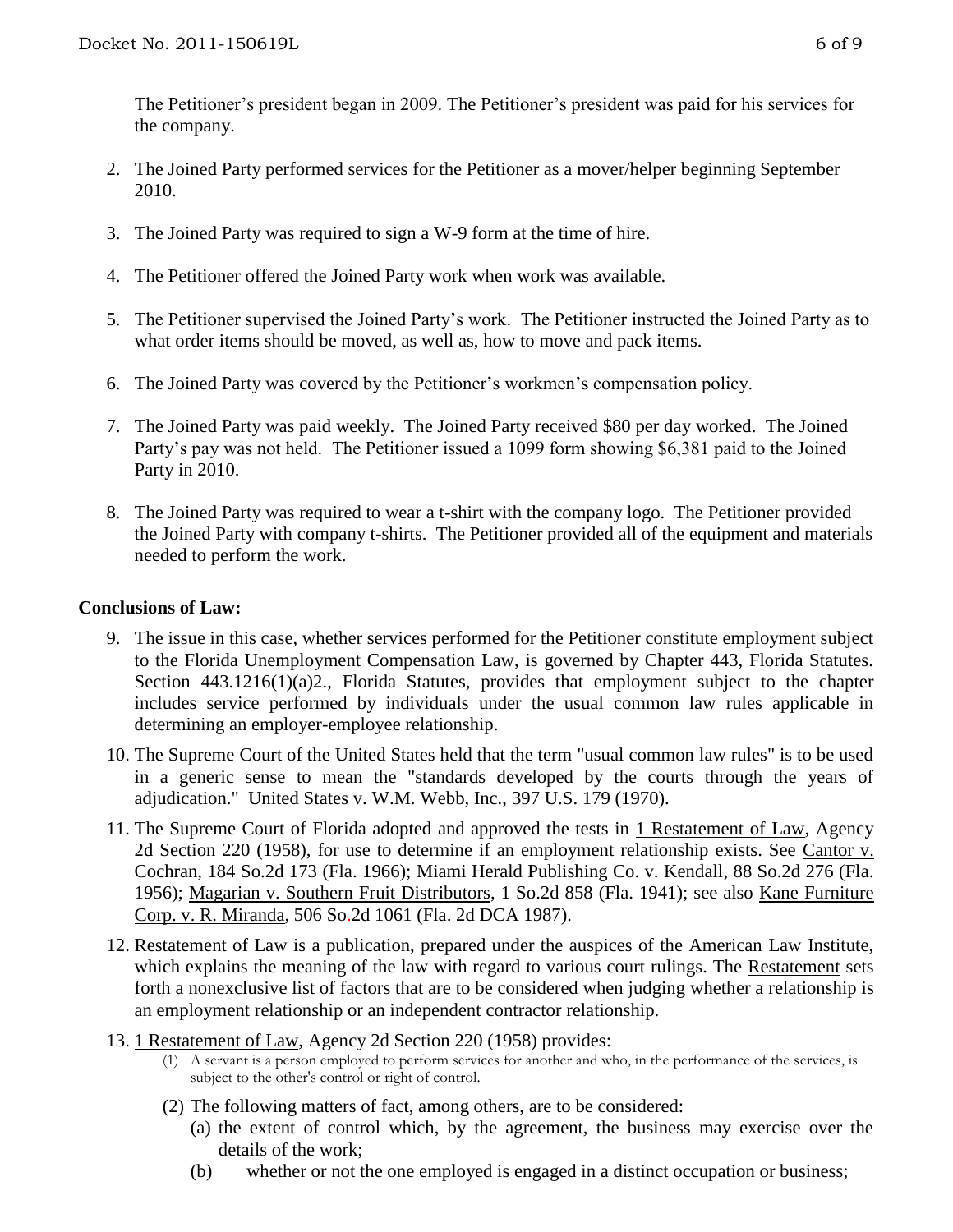The Petitioner's president began in 2009. The Petitioner's president was paid for his services for the company.

- 2. The Joined Party performed services for the Petitioner as a mover/helper beginning September 2010.
- 3. The Joined Party was required to sign a W-9 form at the time of hire.
- 4. The Petitioner offered the Joined Party work when work was available.
- 5. The Petitioner supervised the Joined Party's work. The Petitioner instructed the Joined Party as to what order items should be moved, as well as, how to move and pack items.
- 6. The Joined Party was covered by the Petitioner's workmen's compensation policy.
- 7. The Joined Party was paid weekly. The Joined Party received \$80 per day worked. The Joined Party's pay was not held. The Petitioner issued a 1099 form showing \$6,381 paid to the Joined Party in 2010.
- 8. The Joined Party was required to wear a t-shirt with the company logo. The Petitioner provided the Joined Party with company t-shirts. The Petitioner provided all of the equipment and materials needed to perform the work.

## **Conclusions of Law:**

- 9. The issue in this case, whether services performed for the Petitioner constitute employment subject to the Florida Unemployment Compensation Law, is governed by Chapter 443, Florida Statutes. Section 443.1216(1)(a)2., Florida Statutes, provides that employment subject to the chapter includes service performed by individuals under the usual common law rules applicable in determining an employer-employee relationship.
- 10. The Supreme Court of the United States held that the term "usual common law rules" is to be used in a generic sense to mean the "standards developed by the courts through the years of adjudication." United States v. W.M. Webb, Inc., 397 U.S. 179 (1970).
- 11. The Supreme Court of Florida adopted and approved the tests in 1 Restatement of Law, Agency 2d Section 220 (1958), for use to determine if an employment relationship exists. See Cantor v. Cochran, 184 So.2d 173 (Fla. 1966); Miami Herald Publishing Co. v. Kendall, 88 So.2d 276 (Fla. 1956); Magarian v. Southern Fruit Distributors, 1 So.2d 858 (Fla. 1941); see also Kane Furniture Corp. v. R. Miranda, 506 So.2d 1061 (Fla. 2d DCA 1987).
- 12. Restatement of Law is a publication, prepared under the auspices of the American Law Institute, which explains the meaning of the law with regard to various court rulings. The Restatement sets forth a nonexclusive list of factors that are to be considered when judging whether a relationship is an employment relationship or an independent contractor relationship.
- 13. 1 Restatement of Law, Agency 2d Section 220 (1958) provides:
	- (1) A servant is a person employed to perform services for another and who, in the performance of the services, is subject to the other's control or right of control.
	- (2) The following matters of fact, among others, are to be considered:
		- (a) the extent of control which, by the agreement, the business may exercise over the details of the work;
		- (b) whether or not the one employed is engaged in a distinct occupation or business;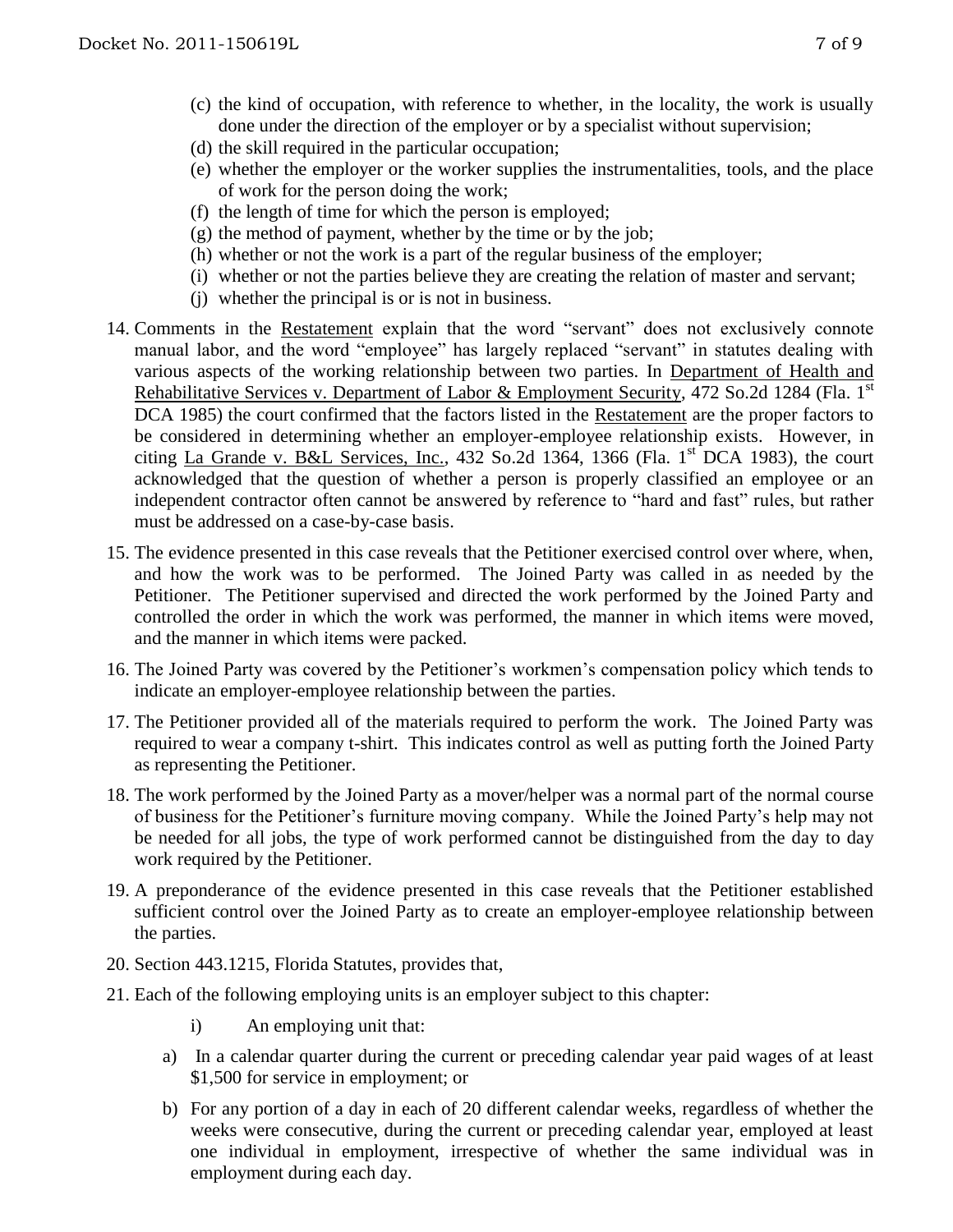- (c) the kind of occupation, with reference to whether, in the locality, the work is usually done under the direction of the employer or by a specialist without supervision;
- (d) the skill required in the particular occupation;
- (e) whether the employer or the worker supplies the instrumentalities, tools, and the place of work for the person doing the work;
- (f) the length of time for which the person is employed;
- $(g)$  the method of payment, whether by the time or by the job;
- (h) whether or not the work is a part of the regular business of the employer;
- (i) whether or not the parties believe they are creating the relation of master and servant;
- (j) whether the principal is or is not in business.
- 14. Comments in the Restatement explain that the word "servant" does not exclusively connote manual labor, and the word "employee" has largely replaced "servant" in statutes dealing with various aspects of the working relationship between two parties. In Department of Health and Rehabilitative Services v. Department of Labor & Employment Security, 472 So.2d 1284 (Fla. 1st DCA 1985) the court confirmed that the factors listed in the Restatement are the proper factors to be considered in determining whether an employer-employee relationship exists. However, in citing La Grande v. B&L Services, Inc.,  $432$  So.2d  $1364$ ,  $1366$  (Fla. 1<sup>st</sup> DCA 1983), the court acknowledged that the question of whether a person is properly classified an employee or an independent contractor often cannot be answered by reference to "hard and fast" rules, but rather must be addressed on a case-by-case basis.
- 15. The evidence presented in this case reveals that the Petitioner exercised control over where, when, and how the work was to be performed. The Joined Party was called in as needed by the Petitioner. The Petitioner supervised and directed the work performed by the Joined Party and controlled the order in which the work was performed, the manner in which items were moved, and the manner in which items were packed.
- 16. The Joined Party was covered by the Petitioner's workmen's compensation policy which tends to indicate an employer-employee relationship between the parties.
- 17. The Petitioner provided all of the materials required to perform the work. The Joined Party was required to wear a company t-shirt. This indicates control as well as putting forth the Joined Party as representing the Petitioner.
- 18. The work performed by the Joined Party as a mover/helper was a normal part of the normal course of business for the Petitioner's furniture moving company. While the Joined Party's help may not be needed for all jobs, the type of work performed cannot be distinguished from the day to day work required by the Petitioner.
- 19. A preponderance of the evidence presented in this case reveals that the Petitioner established sufficient control over the Joined Party as to create an employer-employee relationship between the parties.
- 20. Section 443.1215, Florida Statutes, provides that,
- 21. Each of the following employing units is an employer subject to this chapter:
	- i) An employing unit that:
	- a) In a calendar quarter during the current or preceding calendar year paid wages of at least \$1,500 for service in employment; or
	- b) For any portion of a day in each of 20 different calendar weeks, regardless of whether the weeks were consecutive, during the current or preceding calendar year, employed at least one individual in employment, irrespective of whether the same individual was in employment during each day.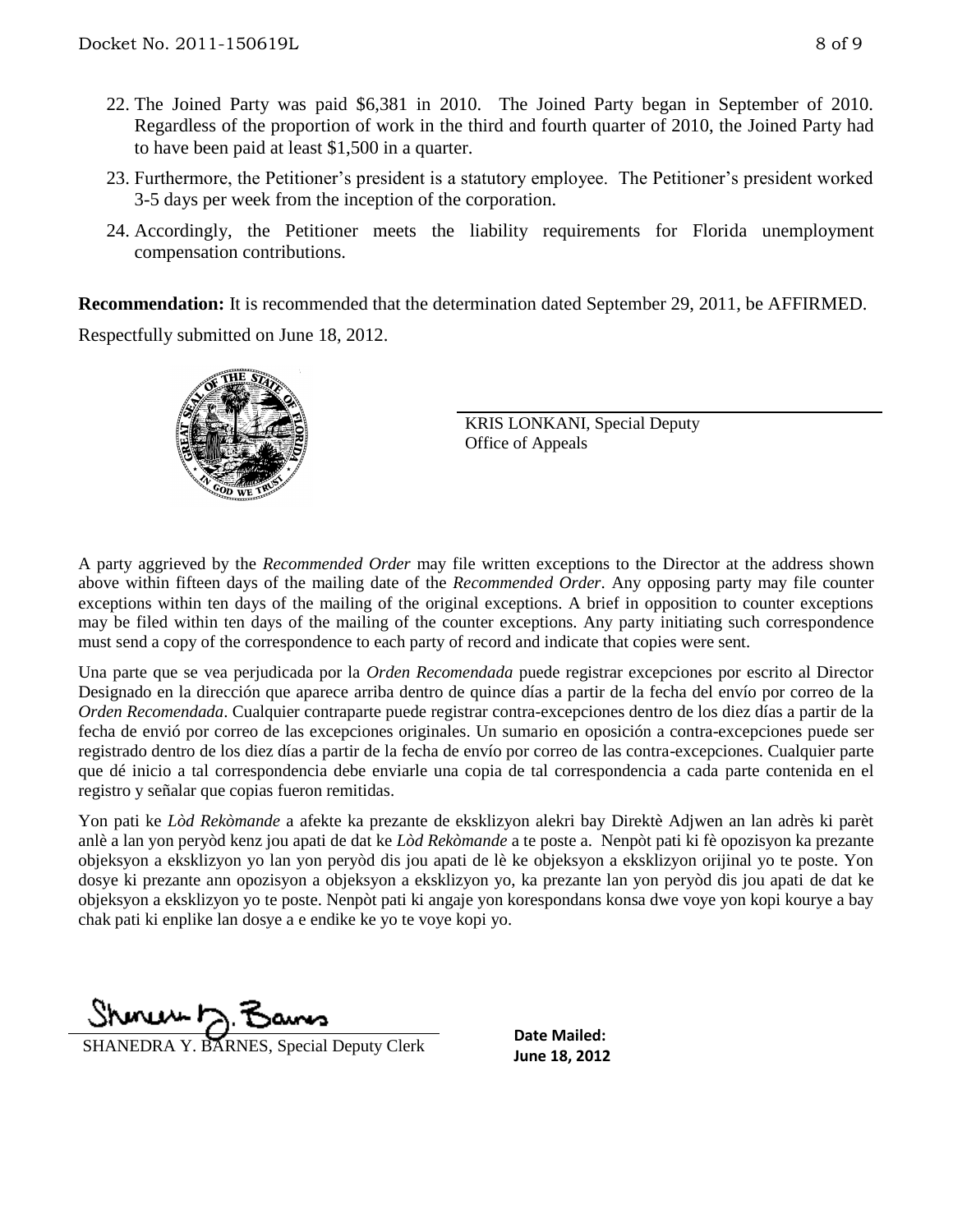- 22. The Joined Party was paid \$6,381 in 2010. The Joined Party began in September of 2010. Regardless of the proportion of work in the third and fourth quarter of 2010, the Joined Party had to have been paid at least \$1,500 in a quarter.
- 23. Furthermore, the Petitioner's president is a statutory employee. The Petitioner's president worked 3-5 days per week from the inception of the corporation.
- 24. Accordingly, the Petitioner meets the liability requirements for Florida unemployment compensation contributions.

**Recommendation:** It is recommended that the determination dated September 29, 2011, be AFFIRMED. Respectfully submitted on June 18, 2012.



KRIS LONKANI, Special Deputy Office of Appeals

A party aggrieved by the *Recommended Order* may file written exceptions to the Director at the address shown above within fifteen days of the mailing date of the *Recommended Order*. Any opposing party may file counter exceptions within ten days of the mailing of the original exceptions. A brief in opposition to counter exceptions may be filed within ten days of the mailing of the counter exceptions. Any party initiating such correspondence must send a copy of the correspondence to each party of record and indicate that copies were sent.

Una parte que se vea perjudicada por la *Orden Recomendada* puede registrar excepciones por escrito al Director Designado en la dirección que aparece arriba dentro de quince días a partir de la fecha del envío por correo de la *Orden Recomendada*. Cualquier contraparte puede registrar contra-excepciones dentro de los diez días a partir de la fecha de envió por correo de las excepciones originales. Un sumario en oposición a contra-excepciones puede ser registrado dentro de los diez días a partir de la fecha de envío por correo de las contra-excepciones. Cualquier parte que dé inicio a tal correspondencia debe enviarle una copia de tal correspondencia a cada parte contenida en el registro y señalar que copias fueron remitidas.

Yon pati ke *Lòd Rekòmande* a afekte ka prezante de eksklizyon alekri bay Direktè Adjwen an lan adrès ki parèt anlè a lan yon peryòd kenz jou apati de dat ke *Lòd Rekòmande* a te poste a. Nenpòt pati ki fè opozisyon ka prezante objeksyon a eksklizyon yo lan yon peryòd dis jou apati de lè ke objeksyon a eksklizyon orijinal yo te poste. Yon dosye ki prezante ann opozisyon a objeksyon a eksklizyon yo, ka prezante lan yon peryòd dis jou apati de dat ke objeksyon a eksklizyon yo te poste. Nenpòt pati ki angaje yon korespondans konsa dwe voye yon kopi kourye a bay chak pati ki enplike lan dosye a e endike ke yo te voye kopi yo.

www.h.F

**June 18, 2012**<br>**June 18, 2012** 

**Date Mailed:**